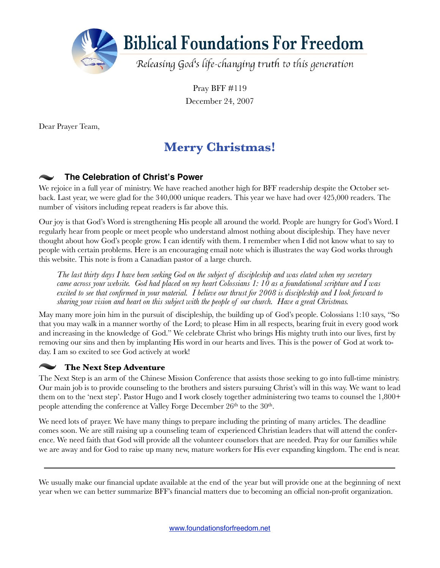

Pray BFF #119 December 24, 2007

Dear Prayer Team,

## **Merry Christmas!**

## **The Celebration of Christ's Power**

We rejoice in a full year of ministry. We have reached another high for BFF readership despite the October setback. Last year, we were glad for the 340,000 unique readers. This year we have had over 425,000 readers. The number of visitors including repeat readers is far above this.

Our joy is that God's Word is strengthening His people all around the world. People are hungry for God's Word. I regularly hear from people or meet people who understand almost nothing about discipleship. They have never thought about how God's people grow. I can identify with them. I remember when I did not know what to say to people with certain problems. Here is an encouraging email note which is illustrates the way God works through this website. This note is from a Canadian pastor of a large church.

*The last thirty days I have been seeking God on the subject of discipleship and was elated when my secretary came across your website. God had placed on my heart Colossians 1: 10 as a foundational scripture and I was excited to see that confirmed in your material. I believe our thrust for 2008 is discipleship and I look forward to sharing your vision and heart on this subject with the people of our church. Have a great Christmas.*

May many more join him in the pursuit of discipleship, the building up of God's people. Colossians 1:10 says, "So that you may walk in a manner worthy of the Lord; to please Him in all respects, bearing fruit in every good work and increasing in the knowledge of God." We celebrate Christ who brings His mighty truth into our lives, first by removing our sins and then by implanting His word in our hearts and lives. This is the power of God at work today. I am so excited to see God actively at work!

## **The Next Step Adventure**

The Next Step is an arm of the Chinese Mission Conference that assists those seeking to go into full-time ministry. Our main job is to provide counseling to the brothers and sisters pursuing Christ's will in this way. We want to lead them on to the 'next step'. Pastor Hugo and I work closely together administering two teams to counsel the 1,800+ people attending the conference at Valley Forge December 26<sup>th</sup> to the 30<sup>th</sup>.

We need lots of prayer. We have many things to prepare including the printing of many articles. The deadline comes soon. We are still raising up a counseling team of experienced Christian leaders that will attend the conference. We need faith that God will provide all the volunteer counselors that are needed. Pray for our families while we are away and for God to raise up many new, mature workers for His ever expanding kingdom. The end is near.

We usually make our financial update available at the end of the year but will provide one at the beginning of next year when we can better summarize BFF's financial matters due to becoming an official non-profit organization.